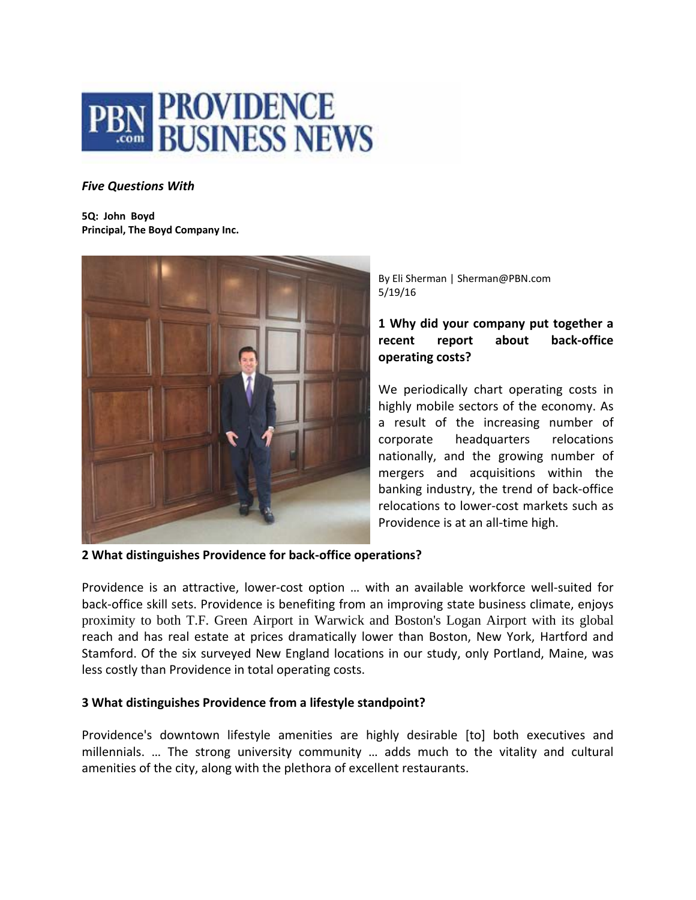

### *Five Questions With*

**5Q: John Boyd Principal, The Boyd Company Inc.**



By Eli Sherman | Sherman@PBN.com 5/19/16

# **1 Why did your company put together a recent report about back‐office operating costs?**

We periodically chart operating costs in highly mobile sectors of the economy. As a result of the increasing number of corporate headquarters relocations nationally, and the growing number of mergers and acquisitions within the banking industry, the trend of back‐office relocations to lower‐cost markets such as Providence is at an all‐time high.

**2 What distinguishes Providence for back‐office operations?** 

Providence is an attractive, lower-cost option ... with an available workforce well-suited for back‐office skill sets. Providence is benefiting from an improving state business climate, enjoys proximity to both T.F. Green Airport in Warwick and Boston's Logan Airport with its global reach and has real estate at prices dramatically lower than Boston, New York, Hartford and Stamford. Of the six surveyed New England locations in our study, only Portland, Maine, was less costly than Providence in total operating costs.

#### **3 What distinguishes Providence from a lifestyle standpoint?**

Providence's downtown lifestyle amenities are highly desirable [to] both executives and millennials. … The strong university community … adds much to the vitality and cultural amenities of the city, along with the plethora of excellent restaurants.